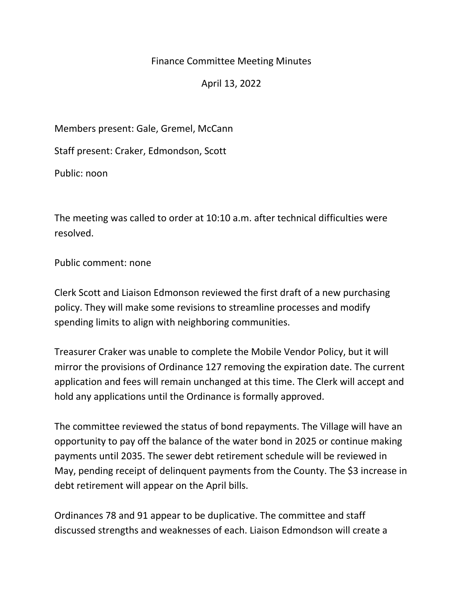## Finance Committee Meeting Minutes

April 13, 2022

Members present: Gale, Gremel, McCann

Staff present: Craker, Edmondson, Scott

Public: noon

The meeting was called to order at 10:10 a.m. after technical difficulties were resolved.

Public comment: none

Clerk Scott and Liaison Edmonson reviewed the first draft of a new purchasing policy. They will make some revisions to streamline processes and modify spending limits to align with neighboring communities.

Treasurer Craker was unable to complete the Mobile Vendor Policy, but it will mirror the provisions of Ordinance 127 removing the expiration date. The current application and fees will remain unchanged at this time. The Clerk will accept and hold any applications until the Ordinance is formally approved.

The committee reviewed the status of bond repayments. The Village will have an opportunity to pay off the balance of the water bond in 2025 or continue making payments until 2035. The sewer debt retirement schedule will be reviewed in May, pending receipt of delinquent payments from the County. The \$3 increase in debt retirement will appear on the April bills.

Ordinances 78 and 91 appear to be duplicative. The committee and staff discussed strengths and weaknesses of each. Liaison Edmondson will create a